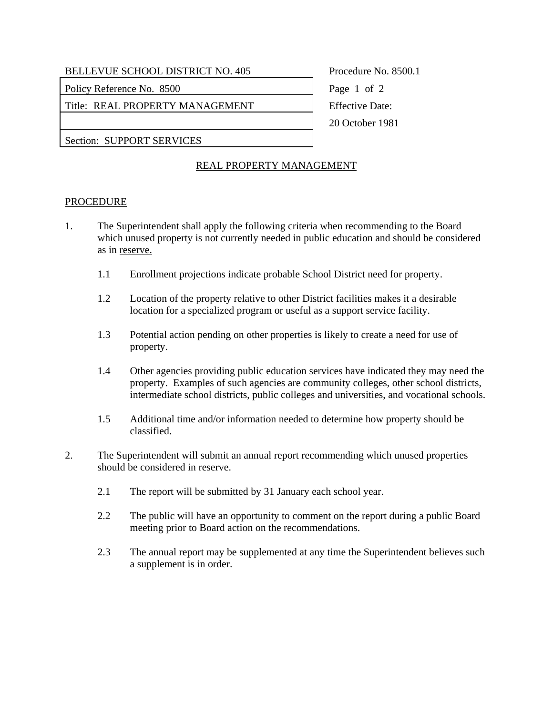BELLEVUE SCHOOL DISTRICT NO. 405 Procedure No. 8500.1

Policy Reference No. 8500 Page 1 of 2

Title: REAL PROPERTY MANAGEMENT Fifective Date:

20 October 1981

Section: SUPPORT SERVICES

## REAL PROPERTY MANAGEMENT

## PROCEDURE

- 1. The Superintendent shall apply the following criteria when recommending to the Board which unused property is not currently needed in public education and should be considered as in reserve.
	- 1.1 Enrollment projections indicate probable School District need for property.
	- 1.2 Location of the property relative to other District facilities makes it a desirable location for a specialized program or useful as a support service facility.
	- 1.3 Potential action pending on other properties is likely to create a need for use of property.
	- 1.4 Other agencies providing public education services have indicated they may need the property. Examples of such agencies are community colleges, other school districts, intermediate school districts, public colleges and universities, and vocational schools.
	- 1.5 Additional time and/or information needed to determine how property should be classified.
- 2. The Superintendent will submit an annual report recommending which unused properties should be considered in reserve.
	- 2.1 The report will be submitted by 31 January each school year.
	- 2.2 The public will have an opportunity to comment on the report during a public Board meeting prior to Board action on the recommendations.
	- 2.3 The annual report may be supplemented at any time the Superintendent believes such a supplement is in order.